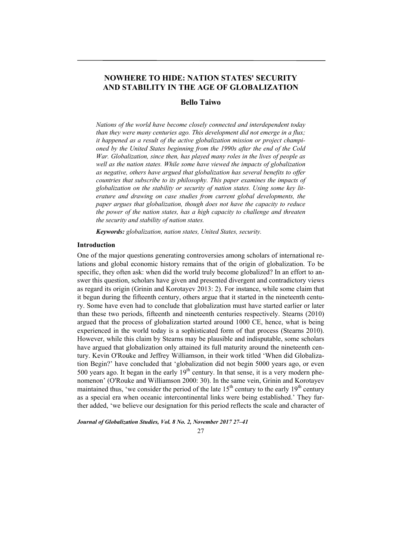# **NOWHERE TO HIDE: NATION STATES' SECURITY AND STABILITY IN THE AGE OF GLOBALIZATION**

# **Bello Taiwo**

*Nations of the world have become closely connected and interdependent today than they were many centuries ago. This development did not emerge in a flux; it happened as a result of the active globalization mission or project championed by the United States beginning from the 1990s after the end of the Cold War. Globalization, since then, has played many roles in the lives of people as well as the nation states. While some have viewed the impacts of globalization as negative, others have argued that globalization has several benefits to offer countries that subscribe to its philosophy. This paper examines the impacts of globalization on the stability or security of nation states. Using some key literature and drawing on case studies from current global developments, the paper argues that globalization, though does not have the capacity to reduce the power of the nation states, has a high capacity to challenge and threaten the security and stability of nation states.* 

*Keywords: globalization, nation states, United States, security.* 

# **Introduction**

One of the major questions generating controversies among scholars of international relations and global economic history remains that of the origin of globalization. To be specific, they often ask: when did the world truly become globalized? In an effort to answer this question, scholars have given and presented divergent and contradictory views as regard its origin (Grinin and Korotayev 2013: 2). For instance, while some claim that it begun during the fifteenth century, others argue that it started in the nineteenth century. Some have even had to conclude that globalization must have started earlier or later than these two periods, fifteenth and nineteenth centuries respectively. Stearns (2010) argued that the process of globalization started around 1000 CE, hence, what is being experienced in the world today is a sophisticated form of that process (Stearns 2010). However, while this claim by Stearns may be plausible and indisputable, some scholars have argued that globalization only attained its full maturity around the nineteenth century. Kevin O'Rouke and Jeffrey Williamson, in their work titled 'When did Globalization Begin?' have concluded that 'globalization did not begin 5000 years ago, or even 500 years ago. It began in the early  $19<sup>th</sup>$  century. In that sense, it is a very modern phenomenon' (O'Rouke and Williamson 2000: 30). In the same vein, Grinin and Korotayev maintained thus, 'we consider the period of the late  $15<sup>th</sup>$  century to the early  $19<sup>th</sup>$  century as a special era when oceanic intercontinental links were being established.' They further added, 'we believe our designation for this period reflects the scale and character of

*Journal of Globalization Studies, Vol. 8 No. 2, November 2017 27–41* 

### 27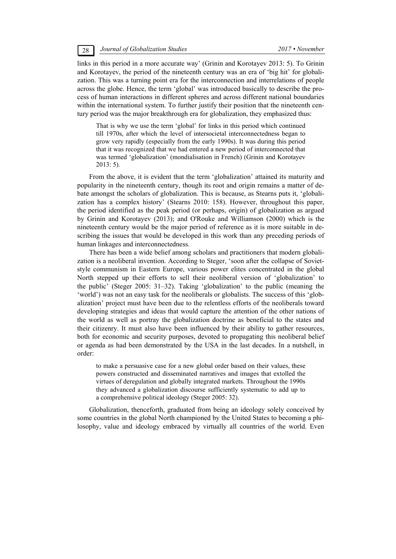links in this period in a more accurate way' (Grinin and Korotayev 2013: 5). To Grinin and Korotayev, the period of the nineteenth century was an era of 'big hit' for globalization. This was a turning point era for the interconnection and interrelations of people across the globe. Hence, the term 'global' was introduced basically to describe the process of human interactions in different spheres and across different national boundaries within the international system. To further justify their position that the nineteenth century period was the major breakthrough era for globalization, they emphasized thus:

That is why we use the term 'global' for links in this period which continued till 1970s, after which the level of intersocietal interconnectedness began to grow very rapidly (especially from the early 1990s). It was during this period that it was recognized that we had entered a new period of interconnected that was termed 'globalization' (mondialisation in French) (Grinin and Korotayev 2013: 5).

From the above, it is evident that the term 'globalization' attained its maturity and popularity in the nineteenth century, though its root and origin remains a matter of debate amongst the scholars of globalization. This is because, as Stearns puts it, 'globalization has a complex history' (Stearns 2010: 158). However, throughout this paper, the period identified as the peak period (or perhaps, origin) of globalization as argued by Grinin and Korotayev (2013); and O'Rouke and Williamson (2000) which is the nineteenth century would be the major period of reference as it is more suitable in describing the issues that would be developed in this work than any preceding periods of human linkages and interconnectedness.

There has been a wide belief among scholars and practitioners that modern globalization is a neoliberal invention. According to Steger, 'soon after the collapse of Sovietstyle communism in Eastern Europe, various power elites concentrated in the global North stepped up their efforts to sell their neoliberal version of 'globalization' to the public' (Steger 2005: 31–32). Taking 'globalization' to the public (meaning the 'world') was not an easy task for the neoliberals or globalists. The success of this 'globalization' project must have been due to the relentless efforts of the neoliberals toward developing strategies and ideas that would capture the attention of the other nations of the world as well as portray the globalization doctrine as beneficial to the states and their citizenry. It must also have been influenced by their ability to gather resources, both for economic and security purposes, devoted to propagating this neoliberal belief or agenda as had been demonstrated by the USA in the last decades. In a nutshell, in order:

to make a persuasive case for a new global order based on their values, these powers constructed and disseminated narratives and images that extolled the virtues of deregulation and globally integrated markets. Throughout the 1990s they advanced a globalization discourse sufficiently systematic to add up to a comprehensive political ideology (Steger 2005: 32).

Globalization, thenceforth, graduated from being an ideology solely conceived by some countries in the global North championed by the United States to becoming a philosophy, value and ideology embraced by virtually all countries of the world. Even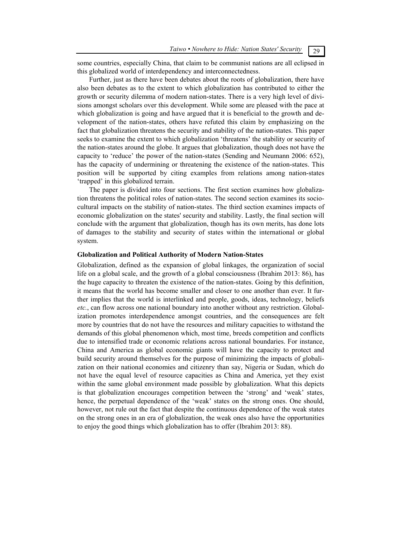some countries, especially China, that claim to be communist nations are all eclipsed in this globalized world of interdependency and interconnectedness.

Further, just as there have been debates about the roots of globalization, there have also been debates as to the extent to which globalization has contributed to either the growth or security dilemma of modern nation-states. There is a very high level of divisions amongst scholars over this development. While some are pleased with the pace at which globalization is going and have argued that it is beneficial to the growth and development of the nation-states, others have refuted this claim by emphasizing on the fact that globalization threatens the security and stability of the nation-states. This paper seeks to examine the extent to which globalization 'threatens' the stability or security of the nation-states around the globe. It argues that globalization, though does not have the capacity to 'reduce' the power of the nation-states (Sending and Neumann 2006: 652), has the capacity of undermining or threatening the existence of the nation-states. This position will be supported by citing examples from relations among nation-states 'trapped' in this globalized terrain.

The paper is divided into four sections. The first section examines how globalization threatens the political roles of nation-states. The second section examines its sociocultural impacts on the stability of nation-states. The third section examines impacts of economic globalization on the states' security and stability. Lastly, the final section will conclude with the argument that globalization, though has its own merits, has done lots of damages to the stability and security of states within the international or global system.

# **Globalization and Political Authority of Modern Nation-States**

Globalization, defined as the expansion of global linkages, the organization of social life on a global scale, and the growth of a global consciousness (Ibrahim 2013: 86), has the huge capacity to threaten the existence of the nation-states. Going by this definition, it means that the world has become smaller and closer to one another than ever. It further implies that the world is interlinked and people, goods, ideas, technology, beliefs *etc.*, can flow across one national boundary into another without any restriction. Globalization promotes interdependence amongst countries, and the consequences are felt more by countries that do not have the resources and military capacities to withstand the demands of this global phenomenon which, most time, breeds competition and conflicts due to intensified trade or economic relations across national boundaries. For instance, China and America as global economic giants will have the capacity to protect and build security around themselves for the purpose of minimizing the impacts of globalization on their national economies and citizenry than say, Nigeria or Sudan, which do not have the equal level of resource capacities as China and America, yet they exist within the same global environment made possible by globalization. What this depicts is that globalization encourages competition between the 'strong' and 'weak' states, hence, the perpetual dependence of the 'weak' states on the strong ones. One should, however, not rule out the fact that despite the continuous dependence of the weak states on the strong ones in an era of globalization, the weak ones also have the opportunities to enjoy the good things which globalization has to offer (Ibrahim 2013: 88).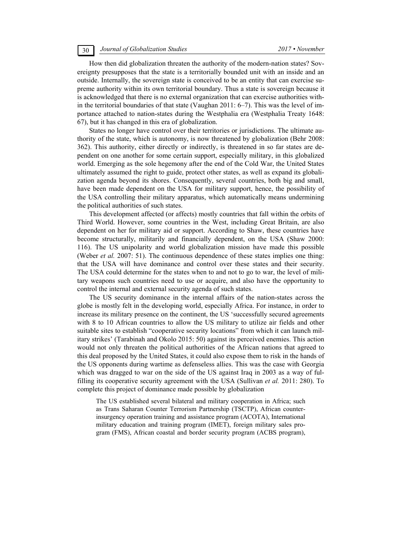How then did globalization threaten the authority of the modern-nation states? Sovereignty presupposes that the state is a territorially bounded unit with an inside and an outside. Internally, the sovereign state is conceived to be an entity that can exercise supreme authority within its own territorial boundary. Thus a state is sovereign because it is acknowledged that there is no external organization that can exercise authorities within the territorial boundaries of that state (Vaughan 2011: 6–7). This was the level of importance attached to nation-states during the Westphalia era (Westphalia Treaty 1648: 67), but it has changed in this era of globalization.

States no longer have control over their territories or jurisdictions. The ultimate authority of the state, which is autonomy, is now threatened by globalization (Behr 2008: 362). This authority, either directly or indirectly, is threatened in so far states are dependent on one another for some certain support, especially military, in this globalized world. Emerging as the sole hegemony after the end of the Cold War, the United States ultimately assumed the right to guide, protect other states, as well as expand its globalization agenda beyond its shores. Consequently, several countries, both big and small, have been made dependent on the USA for military support, hence, the possibility of the USA controlling their military apparatus, which automatically means undermining the political authorities of such states.

This development affected (or affects) mostly countries that fall within the orbits of Third World. However, some countries in the West, including Great Britain, are also dependent on her for military aid or support. According to Shaw, these countries have become structurally, militarily and financially dependent, on the USA (Shaw 2000: 116). The US unipolarity and world globalization mission have made this possible (Weber *et al.* 2007: 51). The continuous dependence of these states implies one thing: that the USA will have dominance and control over these states and their security. The USA could determine for the states when to and not to go to war, the level of military weapons such countries need to use or acquire, and also have the opportunity to control the internal and external security agenda of such states.

The US security dominance in the internal affairs of the nation-states across the globe is mostly felt in the developing world, especially Africa. For instance, in order to increase its military presence on the continent, the US 'successfully secured agreements with 8 to 10 African countries to allow the US military to utilize air fields and other suitable sites to establish "cooperative security locations" from which it can launch military strikes' (Tarabinah and Okolo 2015: 50) against its perceived enemies. This action would not only threaten the political authorities of the African nations that agreed to this deal proposed by the United States, it could also expose them to risk in the hands of the US opponents during wartime as defenseless allies. This was the case with Georgia which was dragged to war on the side of the US against Iraq in 2003 as a way of fulfilling its cooperative security agreement with the USA (Sullivan *et al.* 2011: 280). To complete this project of dominance made possible by globalization

The US established several bilateral and military cooperation in Africa; such as Trans Saharan Counter Terrorism Partnership (TSCTP), African counterinsurgency operation training and assistance program (ACOTA), International military education and training program (IMET), foreign military sales program (FMS), African coastal and border security program (ACBS program),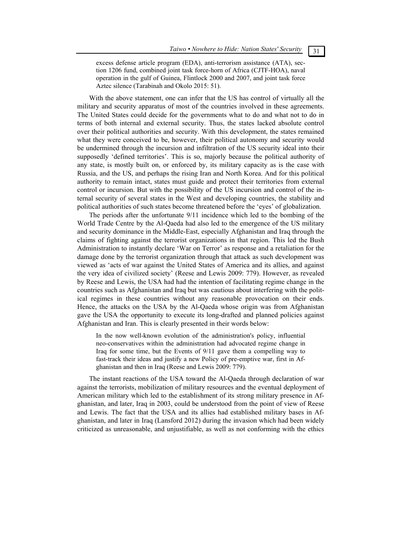excess defense article program (EDA), anti-terrorism assistance (ATA), section 1206 fund, combined joint task force-horn of Africa (CJTF-HOA), naval operation in the gulf of Guinea, Flintlock 2000 and 2007, and joint task force Aztec silence (Tarabinah and Okolo 2015: 51).

With the above statement, one can infer that the US has control of virtually all the military and security apparatus of most of the countries involved in these agreements. The United States could decide for the governments what to do and what not to do in terms of both internal and external security. Thus, the states lacked absolute control over their political authorities and security. With this development, the states remained what they were conceived to be, however, their political autonomy and security would be undermined through the incursion and infiltration of the US security ideal into their supposedly 'defined territories'. This is so, majorly because the political authority of any state, is mostly built on, or enforced by, its military capacity as is the case with Russia, and the US, and perhaps the rising Iran and North Korea. And for this political authority to remain intact, states must guide and protect their territories from external control or incursion. But with the possibility of the US incursion and control of the internal security of several states in the West and developing countries, the stability and political authorities of such states become threatened before the 'eyes' of globalization.

The periods after the unfortunate 9/11 incidence which led to the bombing of the World Trade Centre by the Al-Qaeda had also led to the emergence of the US military and security dominance in the Middle-East, especially Afghanistan and Iraq through the claims of fighting against the terrorist organizations in that region. This led the Bush Administration to instantly declare 'War on Terror' as response and a retaliation for the damage done by the terrorist organization through that attack as such development was viewed as 'acts of war against the United States of America and its allies, and against the very idea of civilized society' (Reese and Lewis 2009: 779). However, as revealed by Reese and Lewis, the USA had had the intention of facilitating regime change in the countries such as Afghanistan and Iraq but was cautious about interfering with the political regimes in these countries without any reasonable provocation on their ends. Hence, the attacks on the USA by the Al-Qaeda whose origin was from Afghanistan gave the USA the opportunity to execute its long-drafted and planned policies against Afghanistan and Iran. This is clearly presented in their words below:

In the now well-known evolution of the administration's policy, influential neo-conservatives within the administration had advocated regime change in Iraq for some time, but the Events of 9/11 gave them a compelling way to fast-track their ideas and justify a new Policy of pre-emptive war, first in Afghanistan and then in Iraq (Reese and Lewis 2009: 779).

The instant reactions of the USA toward the Al-Qaeda through declaration of war against the terrorists, mobilization of military resources and the eventual deployment of American military which led to the establishment of its strong military presence in Afghanistan, and later, Iraq in 2003, could be understood from the point of view of Reese and Lewis. The fact that the USA and its allies had established military bases in Afghanistan, and later in Iraq (Lansford 2012) during the invasion which had been widely criticized as unreasonable, and unjustifiable, as well as not conforming with the ethics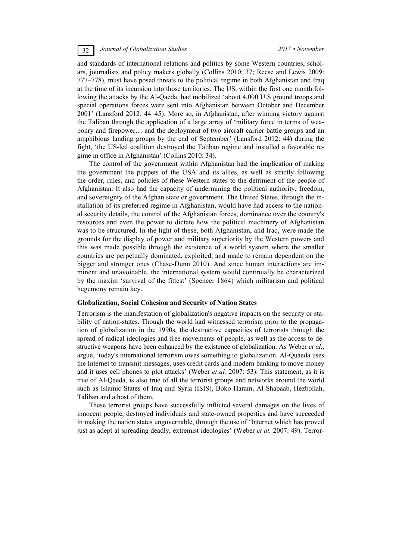and standards of international relations and politics by some Western countries, scholars, journalists and policy makers globally (Collins 2010: 37; Reese and Lewis 2009: 777–778), must have posed threats to the political regime in both Afghanistan and Iraq at the time of its incursion into those territories. The US, within the first one month following the attacks by the Al-Qaeda, had mobilized 'about 4,000 U.S ground troops and special operations forces were sent into Afghanistan between October and December 2001' (Lansford 2012: 44–45). More so, in Afghanistan, after winning victory against the Taliban through the application of a large array of 'military force in terms of weaponry and firepower… and the deployment of two aircraft carrier battle groups and an amphibious landing groups by the end of September' (Lansford 2012: 44) during the fight, 'the US-led coalition destroyed the Taliban regime and installed a favorable regime in office in Afghanistan' (Collins 2010: 34).

The control of the government within Afghanistan had the implication of making the government the puppets of the USA and its allies, as well as strictly following the order, rules, and policies of these Western states to the detriment of the people of Afghanistan. It also had the capacity of undermining the political authority, freedom, and sovereignty of the Afghan state or government. The United States, through the installation of its preferred regime in Afghanistan, would have had access to the national security details, the control of the Afghanistan forces, dominance over the country's resources and even the power to dictate how the political machinery of Afghanistan was to be structured. In the light of these, both Afghanistan, and Iraq, were made the grounds for the display of power and military superiority by the Western powers and this was made possible through the existence of a world system where the smaller countries are perpetually dominated, exploited, and made to remain dependent on the bigger and stronger ones (Chase-Dunn 2010). And since human interactions are imminent and unavoidable, the international system would continually be characterized by the maxim 'survival of the fittest' (Spencer 1864) which militarism and political hegemony remain key.

### **Globalization, Social Cohesion and Security of Nation States**

Terrorism is the manifestation of globalization's negative impacts on the security or stability of nation-states. Though the world had witnessed terrorism prior to the propagation of globalization in the 1990s, the destructive capacities of terrorists through the spread of radical ideologies and free movements of people, as well as the access to destructive weapons have been enhanced by the existence of globalization. As Weber *et al*., argue, 'today's international terrorism owes something to globalization. Al-Quaeda uses the Internet to transmit messages, uses credit cards and modern banking to move money and it uses cell phones to plot attacks' (Weber *et al.* 2007: 53). This statement, as it is true of Al-Qaeda, is also true of all the terrorist groups and networks around the world such as Islamic States of Iraq and Syria (ISIS), Boko Haram, Al-Shabaab, Hezbollah, Taliban and a host of them.

These terrorist groups have successfully inflicted several damages on the lives of innocent people, destroyed individuals and state-owned properties and have succeeded in making the nation states ungovernable, through the use of 'Internet which has proved just as adept at spreading deadly, extremist ideologies' (Weber *et al.* 2007: 49). Terror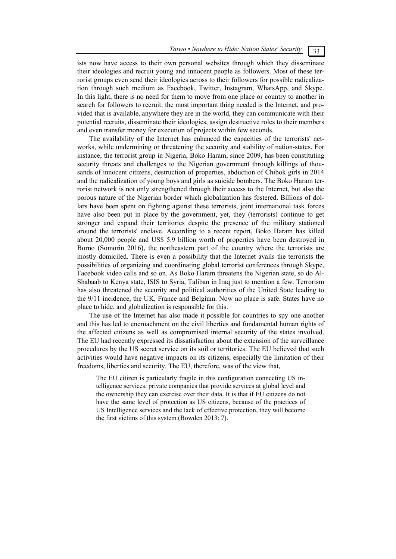ists now have access to their own personal websites through which they disseminate their ideologies and recruit young and innocent people as followers. Most of these terrorist groups even send their ideologies across to their followers for possible radicalization through such medium as Facebook, Twitter, Instagram, WhatsApp, and Skype. In this light, there is no need for them to move from one place or country to another in search for followers to recruit; the most important thing needed is the Internet, and provided that is available, anywhere they are in the world, they can communicate with their potential recruits, disseminate their ideologies, assign destructive roles to their members and even transfer money for execution of projects within few seconds.

The availability of the Internet has enhanced the capacities of the terrorists' networks, while undermining or threatening the security and stability of nation-states. For instance, the terrorist group in Nigeria, Boko Haram, since 2009, has been constituting security threats and challenges to the Nigerian government through killings of thousands of innocent citizens, destruction of properties, abduction of Chibok girls in 2014 and the radicalization of young boys and girls as suicide bombers. The Boko Haram terrorist network is not only strengthened through their access to the Internet, but also the porous nature of the Nigerian border which globalization has fostered. Billions of dollars have been spent on fighting against these terrorists, joint international task forces have also been put in place by the government, yet, they (terrorists) continue to get stronger and expand their territories despite the presence of the military stationed around the terrorists' enclave. According to a recent report, Boko Haram has killed about 20,000 people and US\$ 5.9 billion worth of properties have been destroyed in Borno (Somorin 2016), the northeastern part of the country where the terrorists are mostly domiciled. There is even a possibility that the Internet avails the terrorists the possibilities of organizing and coordinating global terrorist conferences through Skype, Facebook video calls and so on. As Boko Haram threatens the Nigerian state, so do Al-Shabaab to Kenya state, ISIS to Syria, Taliban in Iraq just to mention a few. Terrorism has also threatened the security and political authorities of the United State leading to the 9/11 incidence, the UK, France and Belgium. Now no place is safe. States have no place to hide, and globalization is responsible for this.

The use of the Internet has also made it possible for countries to spy one another and this has led to encroachment on the civil liberties and fundamental human rights of the affected citizens as well as compromised internal security of the states involved. The EU had recently expressed its dissatisfaction about the extension of the surveillance procedures by the US secret service on its soil or territories. The EU believed that such activities would have negative impacts on its citizens, especially the limitation of their freedoms, liberties and security. The EU, therefore, was of the view that,

The EU citizen is particularly fragile in this configuration connecting US intelligence services, private companies that provide services at global level and the ownership they can exercise over their data. It is that if EU citizens do not have the same level of protection as US citizens, because of the practices of US Intelligence services and the lack of effective protection, they will become the first victims of this system (Bowden 2013: 7).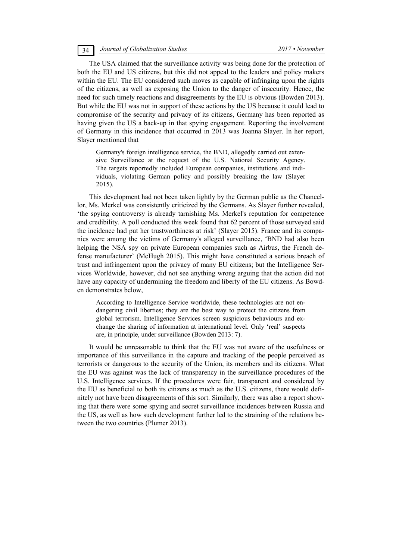The USA claimed that the surveillance activity was being done for the protection of both the EU and US citizens, but this did not appeal to the leaders and policy makers within the EU. The EU considered such moves as capable of infringing upon the rights of the citizens, as well as exposing the Union to the danger of insecurity. Hence, the need for such timely reactions and disagreements by the EU is obvious (Bowden 2013). But while the EU was not in support of these actions by the US because it could lead to compromise of the security and privacy of its citizens, Germany has been reported as having given the US a back-up in that spying engagement. Reporting the involvement of Germany in this incidence that occurred in 2013 was Joanna Slayer. In her report, Slayer mentioned that

Germany's foreign intelligence service, the BND, allegedly carried out extensive Surveillance at the request of the U.S. National Security Agency. The targets reportedly included European companies, institutions and individuals, violating German policy and possibly breaking the law (Slayer 2015).

This development had not been taken lightly by the German public as the Chancellor, Ms. Merkel was consistently criticized by the Germans. As Slayer further revealed, 'the spying controversy is already tarnishing Ms. Merkel's reputation for competence and credibility. A poll conducted this week found that 62 percent of those surveyed said the incidence had put her trustworthiness at risk' (Slayer 2015). France and its companies were among the victims of Germany's alleged surveillance, 'BND had also been helping the NSA spy on private European companies such as Airbus, the French defense manufacturer' (McHugh 2015). This might have constituted a serious breach of trust and infringement upon the privacy of many EU citizens; but the Intelligence Services Worldwide, however, did not see anything wrong arguing that the action did not have any capacity of undermining the freedom and liberty of the EU citizens. As Bowden demonstrates below,

According to Intelligence Service worldwide, these technologies are not endangering civil liberties; they are the best way to protect the citizens from global terrorism. Intelligence Services screen suspicious behaviours and exchange the sharing of information at international level. Only 'real' suspects are, in principle, under surveillance (Bowden 2013: 7).

It would be unreasonable to think that the EU was not aware of the usefulness or importance of this surveillance in the capture and tracking of the people perceived as terrorists or dangerous to the security of the Union, its members and its citizens. What the EU was against was the lack of transparency in the surveillance procedures of the U.S. Intelligence services. If the procedures were fair, transparent and considered by the EU as beneficial to both its citizens as much as the U.S. citizens, there would definitely not have been disagreements of this sort. Similarly, there was also a report showing that there were some spying and secret surveillance incidences between Russia and the US, as well as how such development further led to the straining of the relations between the two countries (Plumer 2013).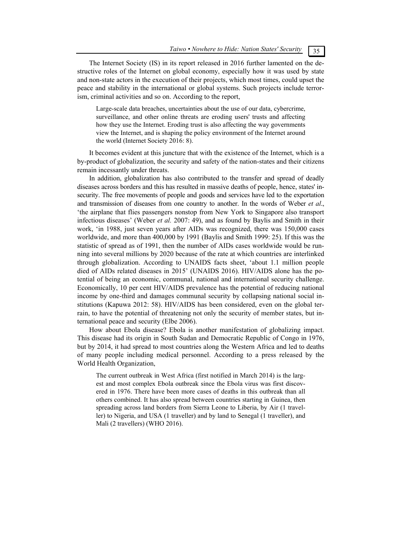The Internet Society (IS) in its report released in 2016 further lamented on the destructive roles of the Internet on global economy, especially how it was used by state and non-state actors in the execution of their projects, which most times, could upset the peace and stability in the international or global systems. Such projects include terrorism, criminal activities and so on. According to the report,

Large-scale data breaches, uncertainties about the use of our data, cybercrime, surveillance, and other online threats are eroding users' trusts and affecting how they use the Internet. Eroding trust is also affecting the way governments view the Internet, and is shaping the policy environment of the Internet around the world (Internet Society 2016: 8).

It becomes evident at this juncture that with the existence of the Internet, which is a by-product of globalization, the security and safety of the nation-states and their citizens remain incessantly under threats.

In addition, globalization has also contributed to the transfer and spread of deadly diseases across borders and this has resulted in massive deaths of people, hence, states' insecurity. The free movements of people and goods and services have led to the exportation and transmission of diseases from one country to another. In the words of Weber *et al*., 'the airplane that flies passengers nonstop from New York to Singapore also transport infectious diseases' (Weber *et al.* 2007: 49), and as found by Baylis and Smith in their work, 'in 1988, just seven years after AIDs was recognized, there was 150,000 cases worldwide, and more than 400,000 by 1991 (Baylis and Smith 1999: 25). If this was the statistic of spread as of 1991, then the number of AIDs cases worldwide would be running into several millions by 2020 because of the rate at which countries are interlinked through globalization. According to UNAIDS facts sheet, 'about 1.1 million people died of AIDs related diseases in 2015' (UNAIDS 2016). HIV/AIDS alone has the potential of being an economic, communal, national and international security challenge. Economically, 10 per cent HIV/AIDS prevalence has the potential of reducing national income by one-third and damages communal security by collapsing national social institutions (Kapuwa 2012: 58). HIV/AIDS has been considered, even on the global terrain, to have the potential of threatening not only the security of member states, but international peace and security (Elbe 2006).

How about Ebola disease? Ebola is another manifestation of globalizing impact. This disease had its origin in South Sudan and Democratic Republic of Congo in 1976, but by 2014, it had spread to most countries along the Western Africa and led to deaths of many people including medical personnel. According to a press released by the World Health Organization,

The current outbreak in West Africa (first notified in March 2014) is the largest and most complex Ebola outbreak since the Ebola virus was first discovered in 1976. There have been more cases of deaths in this outbreak than all others combined. It has also spread between countries starting in Guinea, then spreading across land borders from Sierra Leone to Liberia, by Air (1 traveller) to Nigeria, and USA (1 traveller) and by land to Senegal (1 traveller), and Mali (2 travellers) (WHO 2016).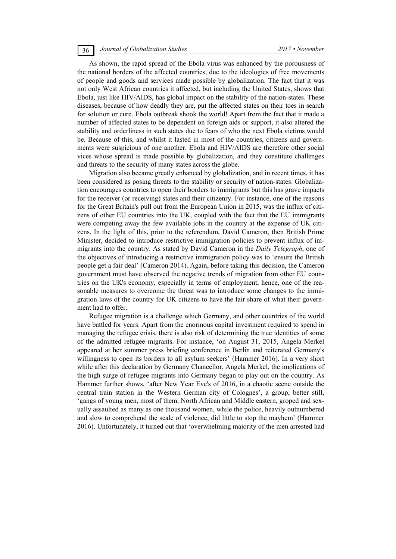# 36 *Journal of Globalization Studies 2017 • November*

As shown, the rapid spread of the Ebola virus was enhanced by the porousness of the national borders of the affected countries, due to the ideologies of free movements of people and goods and services made possible by globalization. The fact that it was not only West African countries it affected, but including the United States, shows that Ebola, just like HIV/AIDS, has global impact on the stability of the nation-states. These diseases, because of how deadly they are, put the affected states on their toes in search for solution or cure. Ebola outbreak shook the world! Apart from the fact that it made a number of affected states to be dependent on foreign aids or support, it also altered the stability and orderliness in such states due to fears of who the next Ebola victims would be. Because of this, and whilst it lasted in most of the countries, citizens and governments were suspicious of one another. Ebola and HIV/AIDS are therefore other social vices whose spread is made possible by globalization, and they constitute challenges and threats to the security of many states across the globe.

Migration also became greatly enhanced by globalization, and in recent times, it has been considered as posing threats to the stability or security of nation-states. Globalization encourages countries to open their borders to immigrants but this has grave impacts for the receiver (or receiving) states and their citizenry. For instance, one of the reasons for the Great Britain's pull out from the European Union in 2015, was the influx of citizens of other EU countries into the UK, coupled with the fact that the EU immigrants were competing away the few available jobs in the country at the expense of UK citizens. In the light of this, prior to the referendum, David Cameron, then British Prime Minister, decided to introduce restrictive immigration policies to prevent influx of immigrants into the country. As stated by David Cameron in the *Daily Telegraph*, one of the objectives of introducing a restrictive immigration policy was to 'ensure the British people get a fair deal' (Cameron 2014). Again, before taking this decision, the Cameron government must have observed the negative trends of migration from other EU countries on the UK's economy, especially in terms of employment, hence, one of the reasonable measures to overcome the threat was to introduce some changes to the immigration laws of the country for UK citizens to have the fair share of what their government had to offer.

Refugee migration is a challenge which Germany, and other countries of the world have battled for years. Apart from the enormous capital investment required to spend in managing the refugee crisis, there is also risk of determining the true identities of some of the admitted refugee migrants. For instance, 'on August 31, 2015, Angela Merkel appeared at her summer press briefing conference in Berlin and reiterated Germany's willingness to open its borders to all asylum seekers' (Hammer 2016). In a very short while after this declaration by Germany Chancellor, Angela Merkel, the implications of the high surge of refugee migrants into Germany began to play out on the country. As Hammer further shows, 'after New Year Eve's of 2016, in a chaotic scene outside the central train station in the Western German city of Colognes', a group, better still, 'gangs of young men, most of them, North African and Middle eastern, groped and sexually assaulted as many as one thousand women, while the police, heavily outnumbered and slow to comprehend the scale of violence, did little to stop the mayhem' (Hammer 2016). Unfortunately, it turned out that 'overwhelming majority of the men arrested had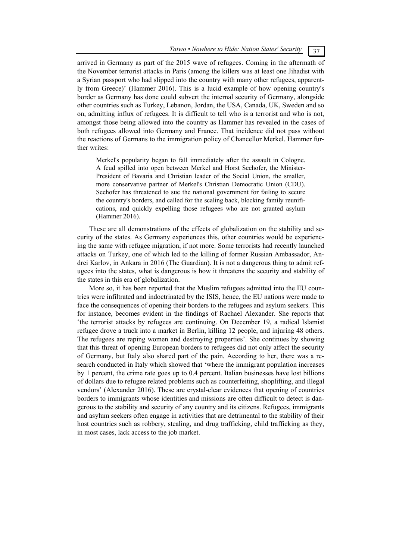arrived in Germany as part of the 2015 wave of refugees. Coming in the aftermath of the November terrorist attacks in Paris (among the killers was at least one Jihadist with a Syrian passport who had slipped into the country with many other refugees, apparently from Greece)' (Hammer 2016). This is a lucid example of how opening country's border as Germany has done could subvert the internal security of Germany, alongside other countries such as Turkey, Lebanon, Jordan, the USA, Canada, UK, Sweden and so on, admitting influx of refugees. It is difficult to tell who is a terrorist and who is not, amongst those being allowed into the country as Hammer has revealed in the cases of both refugees allowed into Germany and France. That incidence did not pass without the reactions of Germans to the immigration policy of Chancellor Merkel. Hammer further writes:

Merkel's popularity began to fall immediately after the assault in Cologne. A feud spilled into open between Merkel and Horst Seehofer, the Minister-President of Bavaria and Christian leader of the Social Union, the smaller, more conservative partner of Merkel's Christian Democratic Union (CDU). Seehofer has threatened to sue the national government for failing to secure the country's borders, and called for the scaling back, blocking family reunifications, and quickly expelling those refugees who are not granted asylum (Hammer 2016).

These are all demonstrations of the effects of globalization on the stability and security of the states. As Germany experiences this, other countries would be experiencing the same with refugee migration, if not more. Some terrorists had recently launched attacks on Turkey, one of which led to the killing of former Russian Ambassador, Andrei Karlov, in Ankara in 2016 (The Guardian). It is not a dangerous thing to admit refugees into the states, what is dangerous is how it threatens the security and stability of the states in this era of globalization.

More so, it has been reported that the Muslim refugees admitted into the EU countries were infiltrated and indoctrinated by the ISIS, hence, the EU nations were made to face the consequences of opening their borders to the refugees and asylum seekers. This for instance, becomes evident in the findings of Rachael Alexander. She reports that 'the terrorist attacks by refugees are continuing. On December 19, a radical Islamist refugee drove a truck into a market in Berlin, killing 12 people, and injuring 48 others. The refugees are raping women and destroying properties'. She continues by showing that this threat of opening European borders to refugees did not only affect the security of Germany, but Italy also shared part of the pain. According to her, there was a research conducted in Italy which showed that 'where the immigrant population increases by 1 percent, the crime rate goes up to 0.4 percent. Italian businesses have lost billions of dollars due to refugee related problems such as counterfeiting, shoplifting, and illegal vendors' (Alexander 2016). These are crystal-clear evidences that opening of countries borders to immigrants whose identities and missions are often difficult to detect is dangerous to the stability and security of any country and its citizens. Refugees, immigrants and asylum seekers often engage in activities that are detrimental to the stability of their host countries such as robbery, stealing, and drug trafficking, child trafficking as they, in most cases, lack access to the job market.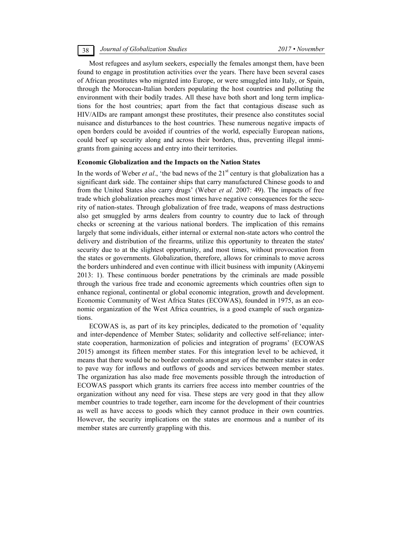Most refugees and asylum seekers, especially the females amongst them, have been found to engage in prostitution activities over the years. There have been several cases of African prostitutes who migrated into Europe, or were smuggled into Italy, or Spain, through the Moroccan-Italian borders populating the host countries and polluting the environment with their bodily trades. All these have both short and long term implications for the host countries; apart from the fact that contagious disease such as HIV/AIDs are rampant amongst these prostitutes, their presence also constitutes social nuisance and disturbances to the host countries. These numerous negative impacts of open borders could be avoided if countries of the world, especially European nations, could beef up security along and across their borders, thus, preventing illegal immigrants from gaining access and entry into their territories.

# **Economic Globalization and the Impacts on the Nation States**

In the words of Weber *et al.*, 'the bad news of the  $21<sup>st</sup>$  century is that globalization has a significant dark side. The container ships that carry manufactured Chinese goods to and from the United States also carry drugs' (Weber *et al.* 2007: 49). The impacts of free trade which globalization preaches most times have negative consequences for the security of nation-states. Through globalization of free trade, weapons of mass destructions also get smuggled by arms dealers from country to country due to lack of through checks or screening at the various national borders. The implication of this remains largely that some individuals, either internal or external non-state actors who control the delivery and distribution of the firearms, utilize this opportunity to threaten the states' security due to at the slightest opportunity, and most times, without provocation from the states or governments. Globalization, therefore, allows for criminals to move across the borders unhindered and even continue with illicit business with impunity (Akinyemi 2013: 1). These continuous border penetrations by the criminals are made possible through the various free trade and economic agreements which countries often sign to enhance regional, continental or global economic integration, growth and development. Economic Community of West Africa States (ECOWAS), founded in 1975, as an economic organization of the West Africa countries, is a good example of such organizations.

ECOWAS is, as part of its key principles, dedicated to the promotion of 'equality and inter-dependence of Member States; solidarity and collective self-reliance; interstate cooperation, harmonization of policies and integration of programs' (ECOWAS 2015) amongst its fifteen member states. For this integration level to be achieved, it means that there would be no border controls amongst any of the member states in order to pave way for inflows and outflows of goods and services between member states. The organization has also made free movements possible through the introduction of ECOWAS passport which grants its carriers free access into member countries of the organization without any need for visa. These steps are very good in that they allow member countries to trade together, earn income for the development of their countries as well as have access to goods which they cannot produce in their own countries. However, the security implications on the states are enormous and a number of its member states are currently grappling with this.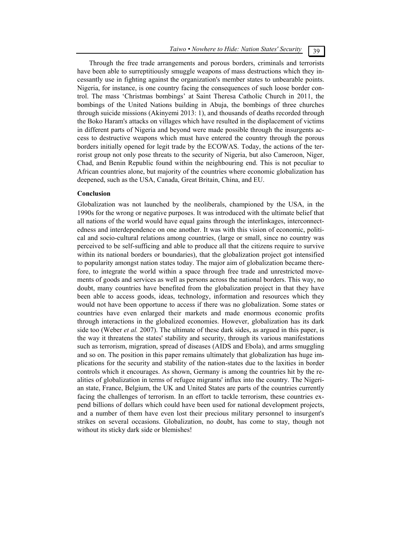Through the free trade arrangements and porous borders, criminals and terrorists have been able to surreptitiously smuggle weapons of mass destructions which they incessantly use in fighting against the organization's member states to unbearable points. Nigeria, for instance, is one country facing the consequences of such loose border control. The mass 'Christmas bombings' at Saint Theresa Catholic Church in 2011, the bombings of the United Nations building in Abuja, the bombings of three churches through suicide missions (Akinyemi 2013: 1), and thousands of deaths recorded through the Boko Haram's attacks on villages which have resulted in the displacement of victims in different parts of Nigeria and beyond were made possible through the insurgents access to destructive weapons which must have entered the country through the porous borders initially opened for legit trade by the ECOWAS. Today, the actions of the terrorist group not only pose threats to the security of Nigeria, but also Cameroon, Niger, Chad, and Benin Republic found within the neighbouring end. This is not peculiar to African countries alone, but majority of the countries where economic globalization has deepened, such as the USA, Canada, Great Britain, China, and EU.

# **Conclusion**

Globalization was not launched by the neoliberals, championed by the USA, in the 1990s for the wrong or negative purposes. It was introduced with the ultimate belief that all nations of the world would have equal gains through the interlinkages, interconnectedness and interdependence on one another. It was with this vision of economic, political and socio-cultural relations among countries, (large or small, since no country was perceived to be self-sufficing and able to produce all that the citizens require to survive within its national borders or boundaries), that the globalization project got intensified to popularity amongst nation states today. The major aim of globalization became therefore, to integrate the world within a space through free trade and unrestricted movements of goods and services as well as persons across the national borders. This way, no doubt, many countries have benefited from the globalization project in that they have been able to access goods, ideas, technology, information and resources which they would not have been opportune to access if there was no globalization. Some states or countries have even enlarged their markets and made enormous economic profits through interactions in the globalized economies. However, globalization has its dark side too (Weber *et al.* 2007). The ultimate of these dark sides, as argued in this paper, is the way it threatens the states' stability and security, through its various manifestations such as terrorism, migration, spread of diseases (AIDS and Ebola), and arms smuggling and so on. The position in this paper remains ultimately that globalization has huge implications for the security and stability of the nation-states due to the laxities in border controls which it encourages. As shown, Germany is among the countries hit by the realities of globalization in terms of refugee migrants' influx into the country. The Nigerian state, France, Belgium, the UK and United States are parts of the countries currently facing the challenges of terrorism. In an effort to tackle terrorism, these countries expend billions of dollars which could have been used for national development projects, and a number of them have even lost their precious military personnel to insurgent's strikes on several occasions. Globalization, no doubt, has come to stay, though not without its sticky dark side or blemishes!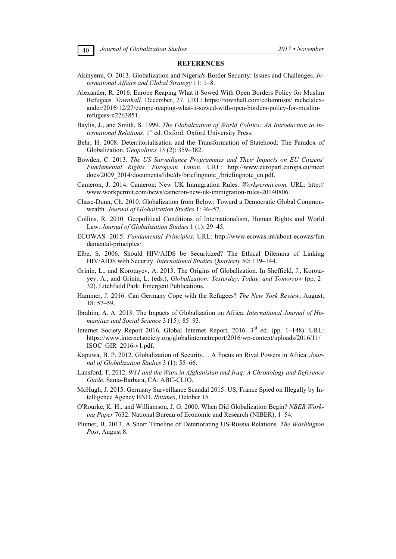# **REFERENCES**

- Akinyemi, O. 2013. Globalization and Nigeria's Border Security: Issues and Challenges. *International Affairs and Global Strategy* 11: 1–8.
- Alexander, R. 2016. Europe Reaping What it Sowed With Open Borders Policy for Muslim Refugees*. Townhall,* December, 27. URL: https://townhall.com/columnists/ rachelalexander/2016/12/27/europe-reaping-what-it-sowed-with-open-borders-policy-for-muslimrefugees-n2263851.
- Baylis, J., and Smith, S. 1999. *The Globalization of World Politics: An Introduction to International Relations*. 1<sup>st</sup> ed. Oxford: Oxford University Press.
- Behr, H. 2008. Deterritorialisation and the Transformation of Statehood: The Paradox of Globalization. *Geopolitics* 13 (2): 359–382.
- Bowden, C. 2013. *The US Surveillance Programmes and Their Impacts on EU Citizens' Fundamental Rights. European Union*. URL: http://www.europarl.europa.eu/meet docs/2009\_2014/documents/libe/dv/briefingnote\_/briefingnote\_en.pdf.
- Cameron, J. 2014. Cameron: New UK Immigration Rules. *Workpermit.com.* URL: http:// www.workpermit.com/news/cameron-new-uk-immigration-rules-20140806.
- Chase-Dunn, Ch. 2010. Globalization from Below: Toward a Democratic Global Commonwealth. *Journal of Globalization Studies* 1: 46–57.
- Collins, R. 2010. Geopolitical Conditions of Internationalism, Human Rights and World Law. *Journal of Globalization Studies* 1 (1): 29–45.
- ECOWAS. 2015. *Fundamental Principles*. URL: http://www.ecowas.int/about-ecowas/fun damental-principles/.
- Elbe, S. 2006. Should HIV/AIDS be Securitized? The Ethical Dilemma of Linking HIV/AIDS with Security. *International Studies Quarterly* 50: 119–144.
- Grinin, L., and Korotayev, A. 2013. The Origins of Globalization. In Sheffield, J., Korotayev, A., and Grinin, L. (eds.), *Globalization: Yesterday, Today, and Tomorrow* (pp. 2– 32). Litchfield Park: Emergent Publications.
- Hammer, J. 2016. Can Germany Cope with the Refugees? *The New York Review*, August, 18: 57–59.
- Ibrahim, A. A. 2013. The Impacts of Globalization on Africa. *International Journal of Humanities and Social Science* 3 (15): 85–93.
- Internet Society Report 2016. Global Internet Report, 2016. 3<sup>rd</sup> ed. (pp. 1–148). URL: https://www.internetsociety.org/globalinternetreport/2016/wp-content/uploads/2016/11/ ISOC\_GIR\_2016-v1.pdf.
- Kapuwa, B. P. 2012. Globalization of Security… A Focus on Rival Powers in Africa. *Journal of Globalization Studies* 3 (1): 55–66.
- Lansford, T. 2012. *9/11 and the Wars in Afghanistan and Iraq: A Chronology and Reference Guide*. Santa-Barbara, CA: ABC-CLIO.
- McHugh, J. 2015. Germany Surveillance Scandal 2015: US, France Spied on Illegally by Intelligence Agency BND. *Ibitimes*, October 15.
- O'Rourke, K. H., and Williamson, J. G. 2000. When Did Globalization Begin? *NBER Working Paper* 7632. National Bureau of Economic and Research (NIBER), 1–54.
- Plumer, B. 2013. A Short Timeline of Deteriorating US-Russia Relations. *The Washington Post*, August 8.